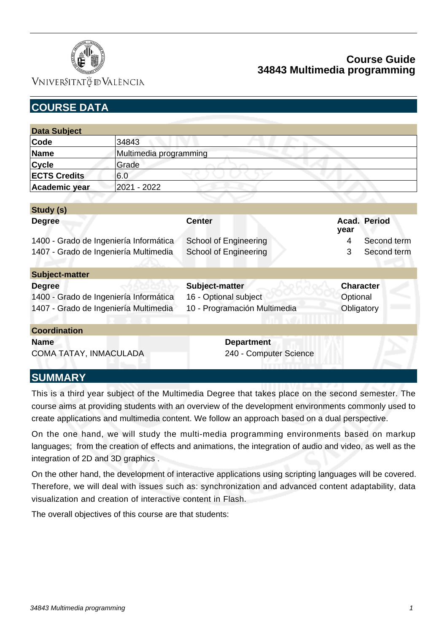

VNIVERSITATÖ ID VALÈNCIA

| <b>COURSE DATA</b>                     |                        |                              |          |                     |
|----------------------------------------|------------------------|------------------------------|----------|---------------------|
|                                        |                        |                              |          |                     |
| <b>Data Subject</b>                    |                        |                              |          |                     |
| Code                                   | 34843                  |                              |          |                     |
| <b>Name</b>                            | Multimedia programming |                              |          |                     |
| <b>Cycle</b>                           | Grade                  |                              |          |                     |
| <b>ECTS Credits</b>                    | 6.0                    |                              |          |                     |
| Academic year                          | 2021 - 2022            |                              |          |                     |
|                                        |                        |                              |          |                     |
| Study (s)                              |                        |                              |          |                     |
| <b>Degree</b>                          |                        | <b>Center</b>                | year     | <b>Acad. Period</b> |
| 1400 - Grado de Ingeniería Informática |                        | <b>School of Engineering</b> | 4        | Second term         |
| 1407 - Grado de Ingeniería Multimedia  |                        | <b>School of Engineering</b> | 3        | Second term         |
| <b>Subject-matter</b>                  |                        |                              |          |                     |
| <b>Degree</b>                          |                        | Subject-matter               |          | <b>Character</b>    |
| 1400 - Grado de Ingeniería Informática |                        | 16 - Optional subject        | Optional |                     |
| 1407 - Grado de Ingeniería Multimedia  |                        | 10 - Programación Multimedia |          | Obligatory          |
| <b>Coordination</b>                    |                        |                              |          |                     |
| <b>Name</b>                            |                        | <b>Department</b>            |          |                     |
| COMA TATAY, INMACULADA                 |                        | 240 - Computer Science       |          |                     |

# **SUMMARY**

This is a third year subject of the Multimedia Degree that takes place on the second semester. The course aims at providing students with an overview of the development environments commonly used to create applications and multimedia content. We follow an approach based on a dual perspective.

On the one hand, we will study the multi-media programming environments based on markup languages; from the creation of effects and animations, the integration of audio and video, as well as the integration of 2D and 3D graphics .

On the other hand, the development of interactive applications using scripting languages will be covered. Therefore, we will deal with issues such as: synchronization and advanced content adaptability, data visualization and creation of interactive content in Flash.

The overall objectives of this course are that students: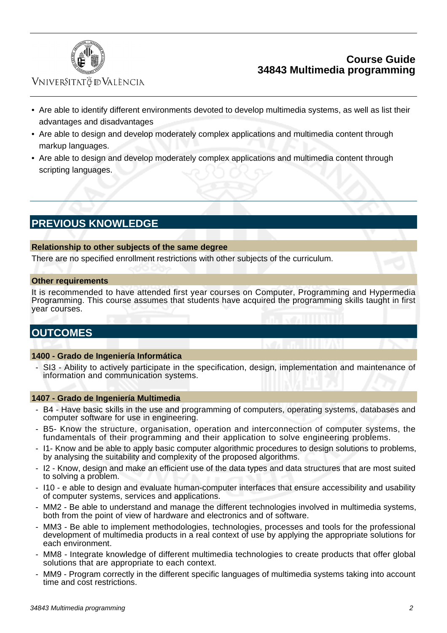

# Vniver§itatğ dValència

- Are able to identify different environments devoted to develop multimedia systems, as well as list their advantages and disadvantages
- Are able to design and develop moderately complex applications and multimedia content through markup languages.
- Are able to design and develop moderately complex applications and multimedia content through scripting languages.

# **PREVIOUS KNOWLEDGE**

#### **Relationship to other subjects of the same degree**

There are no specified enrollment restrictions with other subjects of the curriculum.

#### **Other requirements**

It is recommended to have attended first year courses on Computer, Programming and Hypermedia Programming. This course assumes that students have acquired the programming skills taught in first year courses.

# **OUTCOMES**

#### **1400 - Grado de Ingeniería Informática**

 - SI3 - Ability to actively participate in the specification, design, implementation and maintenance of information and communication systems.

#### **1407 - Grado de Ingeniería Multimedia**

- B4 Have basic skills in the use and programming of computers, operating systems, databases and computer software for use in engineering.
- B5- Know the structure, organisation, operation and interconnection of computer systems, the fundamentals of their programming and their application to solve engineering problems.
- I1- Know and be able to apply basic computer algorithmic procedures to design solutions to problems, by analysing the suitability and complexity of the proposed algorithms.
- I2 Know, design and make an efficient use of the data types and data structures that are most suited to solving a problem.
- I10 e able to design and evaluate human-computer interfaces that ensure accessibility and usability of computer systems, services and applications.
- MM2 Be able to understand and manage the different technologies involved in multimedia systems, both from the point of view of hardware and electronics and of software.
- MM3 Be able to implement methodologies, technologies, processes and tools for the professional development of multimedia products in a real context of use by applying the appropriate solutions for each environment.
- MM8 Integrate knowledge of different multimedia technologies to create products that offer global solutions that are appropriate to each context.
- MM9 Program correctly in the different specific languages of multimedia systems taking into account time and cost restrictions.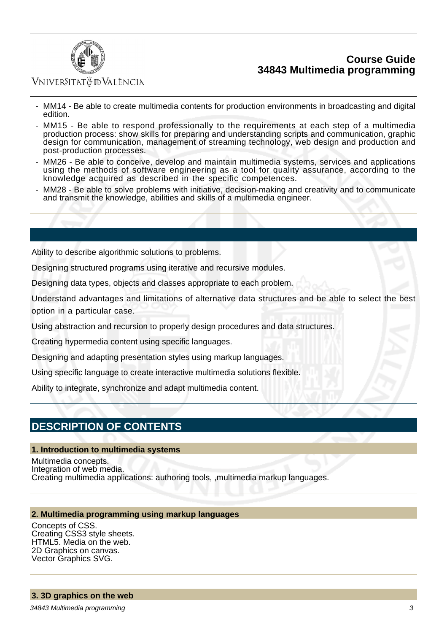

# VNIVERSITATÖ ID VALÈNCIA

- MM14 Be able to create multimedia contents for production environments in broadcasting and digital edition.
- MM15 Be able to respond professionally to the requirements at each step of a multimedia production process: show skills for preparing and understanding scripts and communication, graphic design for communication, management of streaming technology, web design and production and post-production processes.
- MM26 Be able to conceive, develop and maintain multimedia systems, services and applications using the methods of software engineering as a tool for quality assurance, according to the knowledge acquired as described in the specific competences.
- MM28 Be able to solve problems with initiative, decision-making and creativity and to communicate and transmit the knowledge, abilities and skills of a multimedia engineer.

Ability to describe algorithmic solutions to problems.

Designing structured programs using iterative and recursive modules.

Designing data types, objects and classes appropriate to each problem.

Understand advantages and limitations of alternative data structures and be able to select the best option in a particular case.

Using abstraction and recursion to properly design procedures and data structures.

Creating hypermedia content using specific languages.

Designing and adapting presentation styles using markup languages.

Using specific language to create interactive multimedia solutions flexible.

Ability to integrate, synchronize and adapt multimedia content.

# **DESCRIPTION OF CONTENTS**

#### **1. Introduction to multimedia systems**

Multimedia concepts. Integration of web media. Creating multimedia applications: authoring tools, ,multimedia markup languages.

#### **2. Multimedia programming using markup languages**

Concepts of CSS. Creating CSS3 style sheets. HTML5. Media on the web. 2D Graphics on canvas. Vector Graphics SVG.

### **3. 3D graphics on the web**

34843 Multimedia programming 3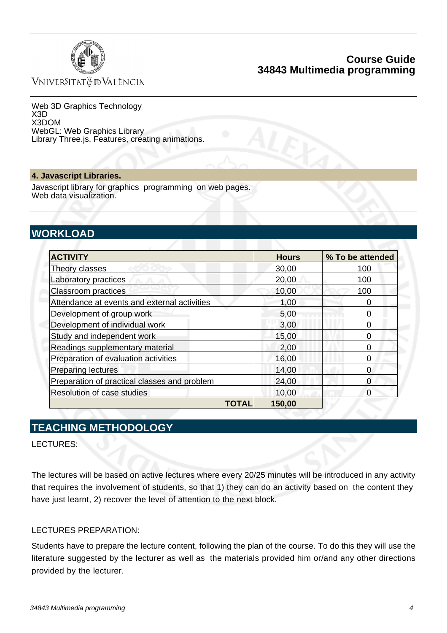

VNIVERSITATÖ ID VALÈNCIA

Web 3D Graphics Technology X3D X3DOM WebGL: Web Graphics Library Library Three.js. Features, creating animations.

#### **4. Javascript Libraries.**

Javascript library for graphics programming on web pages. Web data visualization.

# **WORKLOAD**

| <b>ACTIVITY</b>                              | <b>Hours</b> | % To be attended |
|----------------------------------------------|--------------|------------------|
| Theory classes                               | 30,00        | 100              |
| Laboratory practices                         | 20,00        | 100              |
| <b>Classroom practices</b>                   | 10,00        | 100              |
| Attendance at events and external activities | 1,00         |                  |
| Development of group work                    | 5,00         | O                |
| Development of individual work               | 3,00         | 0                |
| Study and independent work                   | 15,00        | ი                |
| Readings supplementary material              | 2,00         | ი                |
| Preparation of evaluation activities         | 16,00        | 0                |
| <b>Preparing lectures</b>                    | 14,00        | 0                |
| Preparation of practical classes and problem | 24,00        | O                |
| Resolution of case studies                   | 10,00        | 0                |
| TOTAL                                        | 150,00       |                  |

# **TEACHING METHODOLOGY**

LECTURES:

The lectures will be based on active lectures where every 20/25 minutes will be introduced in any activity that requires the involvement of students, so that 1) they can do an activity based on the content they have just learnt, 2) recover the level of attention to the next block.

#### LECTURES PREPARATION:

Students have to prepare the lecture content, following the plan of the course. To do this they will use the literature suggested by the lecturer as well as the materials provided him or/and any other directions provided by the lecturer.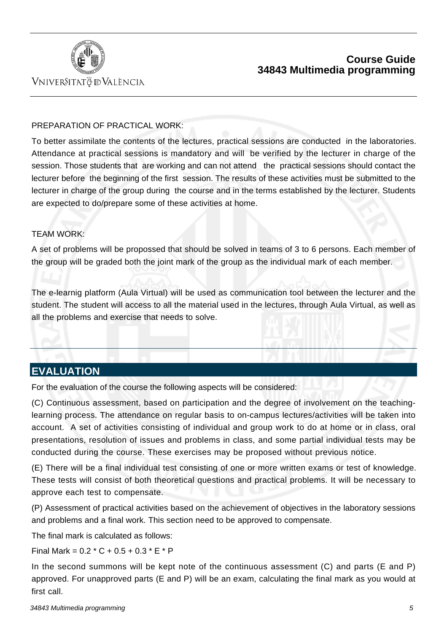

# VNIVERSITATÖ IDVALÈNCIA

### PREPARATION OF PRACTICAL WORK:

To better assimilate the contents of the lectures, practical sessions are conducted in the laboratories. Attendance at practical sessions is mandatory and will be verified by the lecturer in charge of the session. Those students that are working and can not attend the practical sessions should contact the lecturer before the beginning of the first session. The results of these activities must be submitted to the lecturer in charge of the group during the course and in the terms established by the lecturer. Students are expected to do/prepare some of these activities at home.

### TEAM WORK:

A set of problems will be propossed that should be solved in teams of 3 to 6 persons. Each member of the group will be graded both the joint mark of the group as the individual mark of each member.

The e-learnig platform (Aula Virtual) will be used as communication tool between the lecturer and the student. The student will access to all the material used in the lectures, through Aula Virtual, as well as all the problems and exercise that needs to solve.

# **EVALUATION**

For the evaluation of the course the following aspects will be considered:

(C) Continuous assessment, based on participation and the degree of involvement on the teachinglearning process. The attendance on regular basis to on-campus lectures/activities will be taken into account. A set of activities consisting of individual and group work to do at home or in class, oral presentations, resolution of issues and problems in class, and some partial individual tests may be conducted during the course. These exercises may be proposed without previous notice.

(E) There will be a final individual test consisting of one or more written exams or test of knowledge. These tests will consist of both theoretical questions and practical problems. It will be necessary to approve each test to compensate.

(P) Assessment of practical activities based on the achievement of objectives in the laboratory sessions and problems and a final work. This section need to be approved to compensate.

The final mark is calculated as follows:

Final Mark =  $0.2 * C + 0.5 + 0.3 * E * P$ 

In the second summons will be kept note of the continuous assessment (C) and parts (E and P) approved. For unapproved parts (E and P) will be an exam, calculating the final mark as you would at first call.